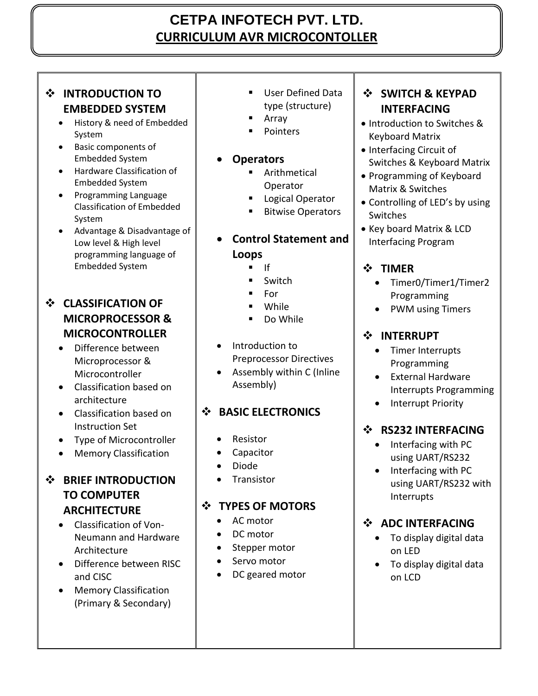# **CETPA INFOTECH PVT. LTD. CURRICULUM AVR MICROCONTOLLER**

# **INTRODUCTION TO EMBEDDED SYSTEM**

- History & need of Embedded System
- Basic components of Embedded System
- Hardware Classification of Embedded System
- Programming Language Classification of Embedded System
- Advantage & Disadvantage of Low level & High level programming language of Embedded System

# **CLASSIFICATION OF MICROPROCESSOR & MICROCONTROLLER**

- Difference between Microprocessor & Microcontroller
- Classification based on architecture
- Classification based on Instruction Set
- Type of Microcontroller
- Memory Classification

# $\div$  BRIEF INTRODUCTION **TO COMPUTER ARCHITECTURE**

- Classification of Von-Neumann and Hardware Architecture
- Difference between RISC and CISC
- **•** Memory Classification (Primary & Secondary)
- User Defined Data type (structure)
	- Array
	- Pointers

### **Operators**

- Arithmetical Operator
- Logical Operator
- Bitwise Operators

# **Control Statement and Loops**

- $\blacksquare$  If
- Switch
- For
- While
- Do While
- Introduction to Preprocessor Directives
- Assembly within C (Inline Assembly)

# **BASIC ELECTRONICS**

- Resistor
- Capacitor
- Diode
- **•** Transistor

# $\div$  TYPES OF MOTORS

- AC motor
- DC motor
- Stepper motor
- Servo motor
- DC geared motor

## **SWITCH & KEYPAD INTERFACING**

- Introduction to Switches & Keyboard Matrix
- Interfacing Circuit of Switches & Keyboard Matrix
- Programming of Keyboard Matrix & Switches
- Controlling of LED's by using Switches
- Key board Matrix & LCD Interfacing Program

# **TIMER**

- Timer0/Timer1/Timer2 Programming
- PWM using Timers

# **INTERRUPT**

- Timer Interrupts Programming
- **•** External Hardware Interrupts Programming
- Interrupt Priority

### $\div$  RS232 INTERFACING

- Interfacing with PC using UART/RS232
- Interfacing with PC using UART/RS232 with Interrupts

# $\div$  ADC INTERFACING

- To display digital data on LED
- To display digital data on LCD